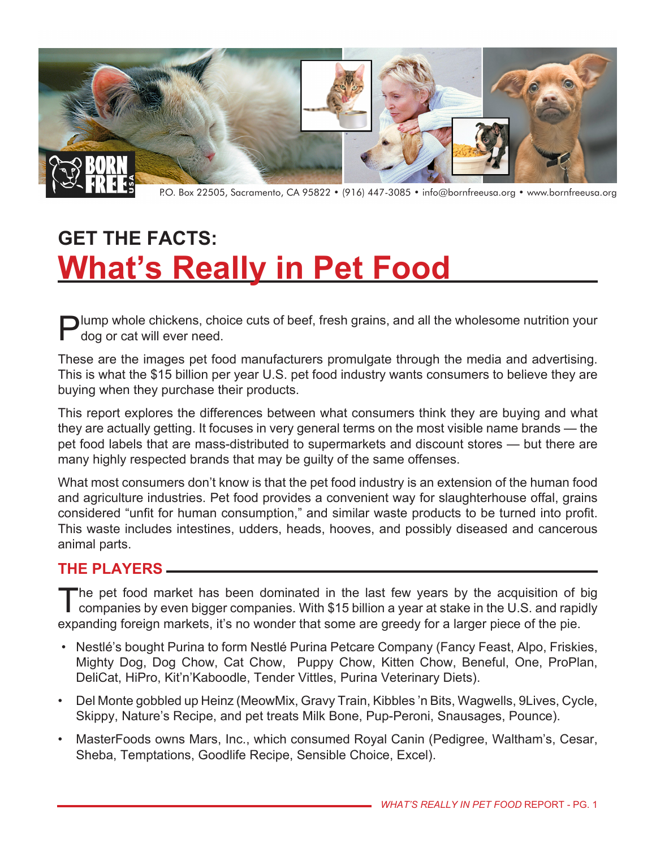

P.O. Box 22505, Sacramento, CA 95822 • (916) 447-3085 • info@bornfreeusa.org • www.bornfreeusa.org

# **Get The Facts: What's Really in Pet Food**

**Plump whole chickens, choice cuts of beef, fresh grains, and all the wholesome nutrition your** dog or cat will ever need.

These are the images pet food manufacturers promulgate through the media and advertising. This is what the \$15 billion per year U.S. pet food industry wants consumers to believe they are buying when they purchase their products.

This report explores the differences between what consumers think they are buying and what they are actually getting. It focuses in very general terms on the most visible name brands — the pet food labels that are mass-distributed to supermarkets and discount stores — but there are many highly respected brands that may be guilty of the same offenses.

What most consumers don't know is that the pet food industry is an extension of the human food and agriculture industries. Pet food provides a convenient way for slaughterhouse offal, grains considered "unfit for human consumption," and similar waste products to be turned into profit. This waste includes intestines, udders, heads, hooves, and possibly diseased and cancerous animal parts.

## **The Players**

The pet food market has been dominated in the last few years by the acquisition of big companies by even bigger companies. With \$15 billion a year at stake in the U.S. and rapidly expanding foreign markets, it's no wonder that some are greedy for a larger piece of the pie.

- Nestlé's bought Purina to form Nestlé Purina Petcare Company (Fancy Feast, Alpo, Friskies, Mighty Dog, Dog Chow, Cat Chow, Puppy Chow, Kitten Chow, Beneful, One, ProPlan, DeliCat, HiPro, Kit'n'Kaboodle, Tender Vittles, Purina Veterinary Diets).
- Del Monte gobbled up Heinz (MeowMix, Gravy Train, Kibbles 'n Bits, Wagwells, 9Lives, Cycle, Skippy, Nature's Recipe, and pet treats Milk Bone, Pup-Peroni, Snausages, Pounce).
- MasterFoods owns Mars, Inc., which consumed Royal Canin (Pedigree, Waltham's, Cesar, Sheba, Temptations, Goodlife Recipe, Sensible Choice, Excel).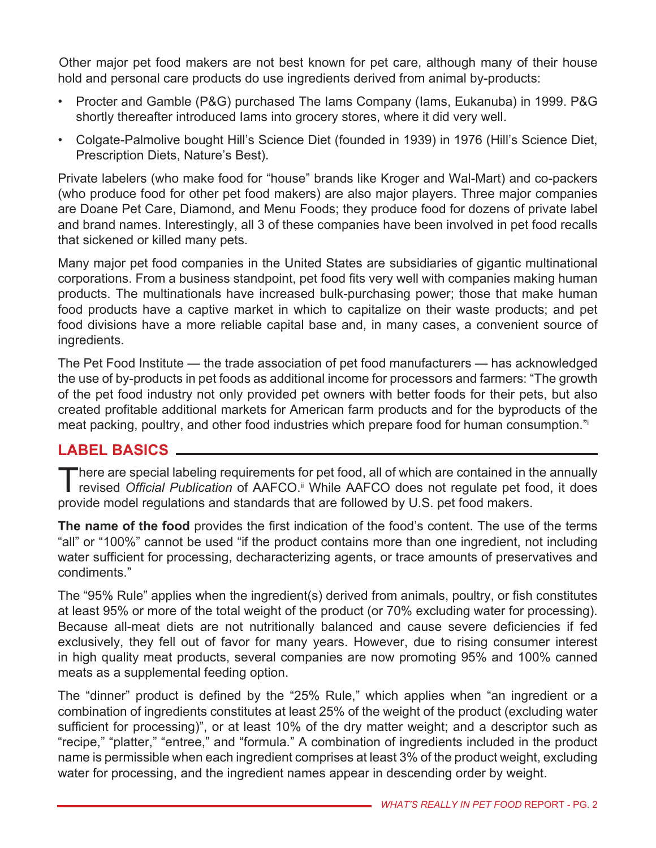Other major pet food makers are not best known for pet care, although many of their house hold and personal care products do use ingredients derived from animal by-products:

- Procter and Gamble (P&G) purchased The Iams Company (Iams, Eukanuba) in 1999. P&G shortly thereafter introduced Iams into grocery stores, where it did very well.
- Colgate-Palmolive bought Hill's Science Diet (founded in 1939) in 1976 (Hill's Science Diet, Prescription Diets, Nature's Best).

Private labelers (who make food for "house" brands like Kroger and Wal-Mart) and co-packers (who produce food for other pet food makers) are also major players. Three major companies are Doane Pet Care, Diamond, and Menu Foods; they produce food for dozens of private label and brand names. Interestingly, all 3 of these companies have been involved in pet food recalls that sickened or killed many pets.

Many major pet food companies in the United States are subsidiaries of gigantic multinational corporations. From a business standpoint, pet food fits very well with companies making human products. The multinationals have increased bulk-purchasing power; those that make human food products have a captive market in which to capitalize on their waste products; and pet food divisions have a more reliable capital base and, in many cases, a convenient source of ingredients.

The Pet Food Institute — the trade association of pet food manufacturers — has acknowledged the use of by-products in pet foods as additional income for processors and farmers: "The growth of the pet food industry not only provided pet owners with better foods for their pets, but also created profitable additional markets for American farm products and for the byproducts of the meat packing, poultry, and other food industries which prepare food for human consumption."i

## **LABEL BASICS**

There are special labeling requirements for pet food, all of which are contained in the annually revised *Official Publication* of AAFCO.<sup>ii</sup> While AAFCO does not regulate pet food, it does provide model regulations and standards that are followed by U.S. pet food makers.

**The name of the food** provides the first indication of the food's content. The use of the terms "all" or "100%" cannot be used "if the product contains more than one ingredient, not including water sufficient for processing, decharacterizing agents, or trace amounts of preservatives and condiments."

The "95% Rule" applies when the ingredient(s) derived from animals, poultry, or fish constitutes at least 95% or more of the total weight of the product (or 70% excluding water for processing). Because all-meat diets are not nutritionally balanced and cause severe deficiencies if fed exclusively, they fell out of favor for many years. However, due to rising consumer interest in high quality meat products, several companies are now promoting 95% and 100% canned meats as a supplemental feeding option.

The "dinner" product is defined by the "25% Rule," which applies when "an ingredient or a combination of ingredients constitutes at least 25% of the weight of the product (excluding water sufficient for processing)", or at least 10% of the dry matter weight; and a descriptor such as "recipe," "platter," "entree," and "formula." A combination of ingredients included in the product name is permissible when each ingredient comprises at least 3% of the product weight, excluding water for processing, and the ingredient names appear in descending order by weight.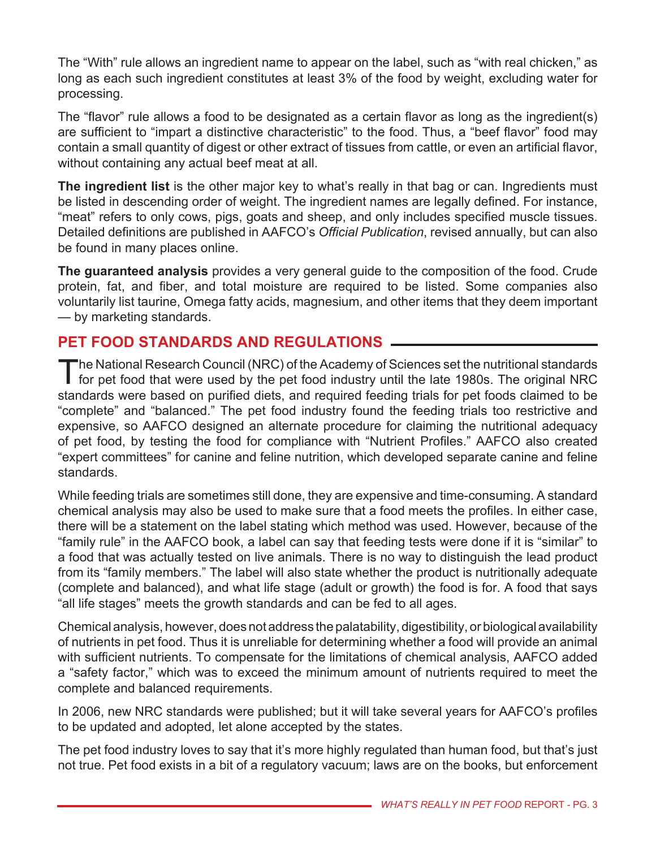The "With" rule allows an ingredient name to appear on the label, such as "with real chicken," as long as each such ingredient constitutes at least 3% of the food by weight, excluding water for processing.

The "flavor" rule allows a food to be designated as a certain flavor as long as the ingredient(s) are sufficient to "impart a distinctive characteristic" to the food. Thus, a "beef flavor" food may contain a small quantity of digest or other extract of tissues from cattle, or even an artificial flavor, without containing any actual beef meat at all.

**The ingredient list** is the other major key to what's really in that bag or can. Ingredients must be listed in descending order of weight. The ingredient names are legally defined. For instance, "meat" refers to only cows, pigs, goats and sheep, and only includes specified muscle tissues. Detailed definitions are published in AAFCO's *Official Publication*, revised annually, but can also be found in many places online.

**The guaranteed analysis** provides a very general guide to the composition of the food. Crude protein, fat, and fiber, and total moisture are required to be listed. Some companies also voluntarily list taurine, Omega fatty acids, magnesium, and other items that they deem important — by marketing standards.

## **Pet Food Standards and Regulations**

The National Research Council (NRC) of the Academy of Sciences set the nutritional standards<br>for pet food that were used by the pet food industry until the late 1980s. The original NRC standards were based on purified diets, and required feeding trials for pet foods claimed to be "complete" and "balanced." The pet food industry found the feeding trials too restrictive and expensive, so AAFCO designed an alternate procedure for claiming the nutritional adequacy of pet food, by testing the food for compliance with "Nutrient Profiles." AAFCO also created "expert committees" for canine and feline nutrition, which developed separate canine and feline standards.

While feeding trials are sometimes still done, they are expensive and time-consuming. A standard chemical analysis may also be used to make sure that a food meets the profiles. In either case, there will be a statement on the label stating which method was used. However, because of the "family rule" in the AAFCO book, a label can say that feeding tests were done if it is "similar" to a food that was actually tested on live animals. There is no way to distinguish the lead product from its "family members." The label will also state whether the product is nutritionally adequate (complete and balanced), and what life stage (adult or growth) the food is for. A food that says "all life stages" meets the growth standards and can be fed to all ages.

Chemical analysis, however, does not address the palatability, digestibility, or biological availability of nutrients in pet food. Thus it is unreliable for determining whether a food will provide an animal with sufficient nutrients. To compensate for the limitations of chemical analysis, AAFCO added a "safety factor," which was to exceed the minimum amount of nutrients required to meet the complete and balanced requirements.

In 2006, new NRC standards were published; but it will take several years for AAFCO's profiles to be updated and adopted, let alone accepted by the states.

The pet food industry loves to say that it's more highly regulated than human food, but that's just not true. Pet food exists in a bit of a regulatory vacuum; laws are on the books, but enforcement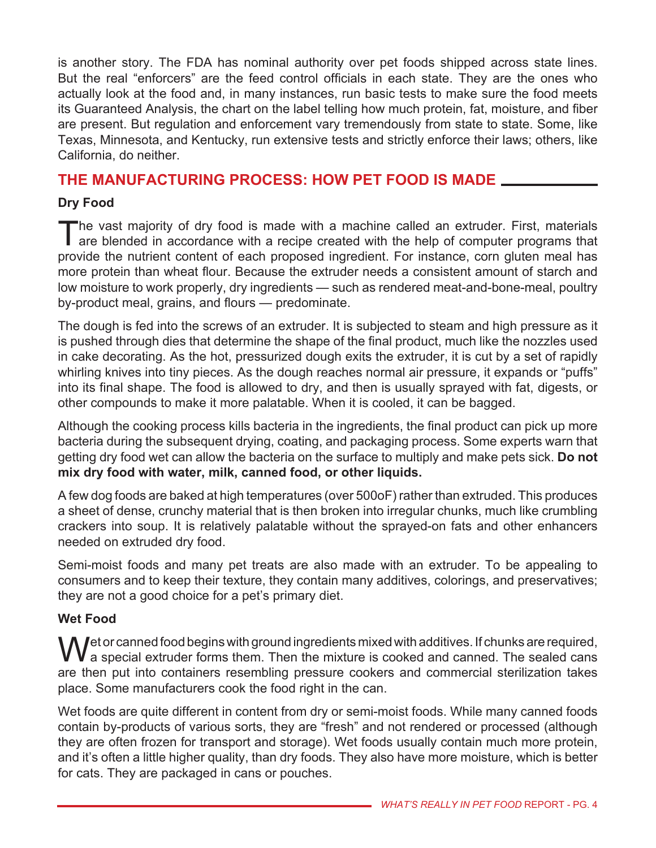is another story. The FDA has nominal authority over pet foods shipped across state lines. But the real "enforcers" are the feed control officials in each state. They are the ones who actually look at the food and, in many instances, run basic tests to make sure the food meets its Guaranteed Analysis, the chart on the label telling how much protein, fat, moisture, and fiber are present. But regulation and enforcement vary tremendously from state to state. Some, like Texas, Minnesota, and Kentucky, run extensive tests and strictly enforce their laws; others, like California, do neither.

## **THE MANUFACTURING PROCESS: HOW PET FOOD IS MADE**

## **Dry Food**

The vast majority of dry food is made with a machine called an extruder. First, materials are blended in accordance with a recipe created with the help of computer programs that provide the nutrient content of each proposed ingredient. For instance, corn gluten meal has more protein than wheat flour. Because the extruder needs a consistent amount of starch and low moisture to work properly, dry ingredients — such as rendered meat-and-bone-meal, poultry by-product meal, grains, and flours — predominate.

The dough is fed into the screws of an extruder. It is subjected to steam and high pressure as it is pushed through dies that determine the shape of the final product, much like the nozzles used in cake decorating. As the hot, pressurized dough exits the extruder, it is cut by a set of rapidly whirling knives into tiny pieces. As the dough reaches normal air pressure, it expands or "puffs" into its final shape. The food is allowed to dry, and then is usually sprayed with fat, digests, or other compounds to make it more palatable. When it is cooled, it can be bagged.

Although the cooking process kills bacteria in the ingredients, the final product can pick up more bacteria during the subsequent drying, coating, and packaging process. Some experts warn that getting dry food wet can allow the bacteria on the surface to multiply and make pets sick. **Do not mix dry food with water, milk, canned food, or other liquids.**

A few dog foods are baked at high temperatures (over 500oF) rather than extruded. This produces a sheet of dense, crunchy material that is then broken into irregular chunks, much like crumbling crackers into soup. It is relatively palatable without the sprayed-on fats and other enhancers needed on extruded dry food.

Semi-moist foods and many pet treats are also made with an extruder. To be appealing to consumers and to keep their texture, they contain many additives, colorings, and preservatives; they are not a good choice for a pet's primary diet.

#### **Wet Food**

Wet or canned food begins with ground ingredients mixed with additives. If chunks are required, a special extruder forms them. Then the mixture is cooked and canned. The sealed cans are then put into containers resembling pressure cookers and commercial sterilization takes place. Some manufacturers cook the food right in the can.

Wet foods are quite different in content from dry or semi-moist foods. While many canned foods contain by-products of various sorts, they are "fresh" and not rendered or processed (although they are often frozen for transport and storage). Wet foods usually contain much more protein, and it's often a little higher quality, than dry foods. They also have more moisture, which is better for cats. They are packaged in cans or pouches.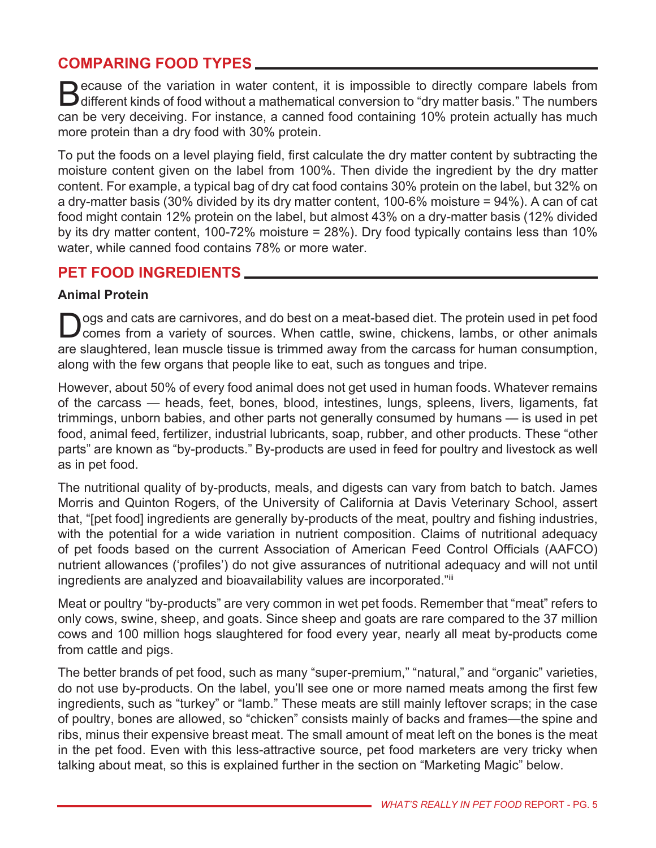# **Comparing Food Types**

Because of the variation in water content, it is impossible to directly compare labels from different kinds of food without a mathematical conversion to "dry matter basis." The numbers can be very deceiving. For instance, a canned food containing 10% protein actually has much more protein than a dry food with 30% protein.

To put the foods on a level playing field, first calculate the dry matter content by subtracting the moisture content given on the label from 100%. Then divide the ingredient by the dry matter content. For example, a typical bag of dry cat food contains 30% protein on the label, but 32% on a dry-matter basis (30% divided by its dry matter content, 100-6% moisture = 94%). A can of cat food might contain 12% protein on the label, but almost 43% on a dry-matter basis (12% divided by its dry matter content, 100-72% moisture = 28%). Dry food typically contains less than 10% water, while canned food contains 78% or more water.

## **PET FOOD INGREDIENTS**

#### **Animal Protein**

Dogs and cats are carnivores, and do best on a meat-based diet. The protein used in pet food comes from a variety of sources. When cattle, swine, chickens, lambs, or other animals are slaughtered, lean muscle tissue is trimmed away from the carcass for human consumption, along with the few organs that people like to eat, such as tongues and tripe.

However, about 50% of every food animal does not get used in human foods. Whatever remains of the carcass — heads, feet, bones, blood, intestines, lungs, spleens, livers, ligaments, fat trimmings, unborn babies, and other parts not generally consumed by humans — is used in pet food, animal feed, fertilizer, industrial lubricants, soap, rubber, and other products. These "other parts" are known as "by-products." By-products are used in feed for poultry and livestock as well as in pet food.

The nutritional quality of by-products, meals, and digests can vary from batch to batch. James Morris and Quinton Rogers, of the University of California at Davis Veterinary School, assert that, "[pet food] ingredients are generally by-products of the meat, poultry and fishing industries, with the potential for a wide variation in nutrient composition. Claims of nutritional adequacy of pet foods based on the current Association of American Feed Control Officials (AAFCO) nutrient allowances ('profiles') do not give assurances of nutritional adequacy and will not until ingredients are analyzed and bioavailability values are incorporated."iii

Meat or poultry "by-products" are very common in wet pet foods. Remember that "meat" refers to only cows, swine, sheep, and goats. Since sheep and goats are rare compared to the 37 million cows and 100 million hogs slaughtered for food every year, nearly all meat by-products come from cattle and pigs.

The better brands of pet food, such as many "super-premium," "natural," and "organic" varieties, do not use by-products. On the label, you'll see one or more named meats among the first few ingredients, such as "turkey" or "lamb." These meats are still mainly leftover scraps; in the case of poultry, bones are allowed, so "chicken" consists mainly of backs and frames—the spine and ribs, minus their expensive breast meat. The small amount of meat left on the bones is the meat in the pet food. Even with this less-attractive source, pet food marketers are very tricky when talking about meat, so this is explained further in the section on "Marketing Magic" below.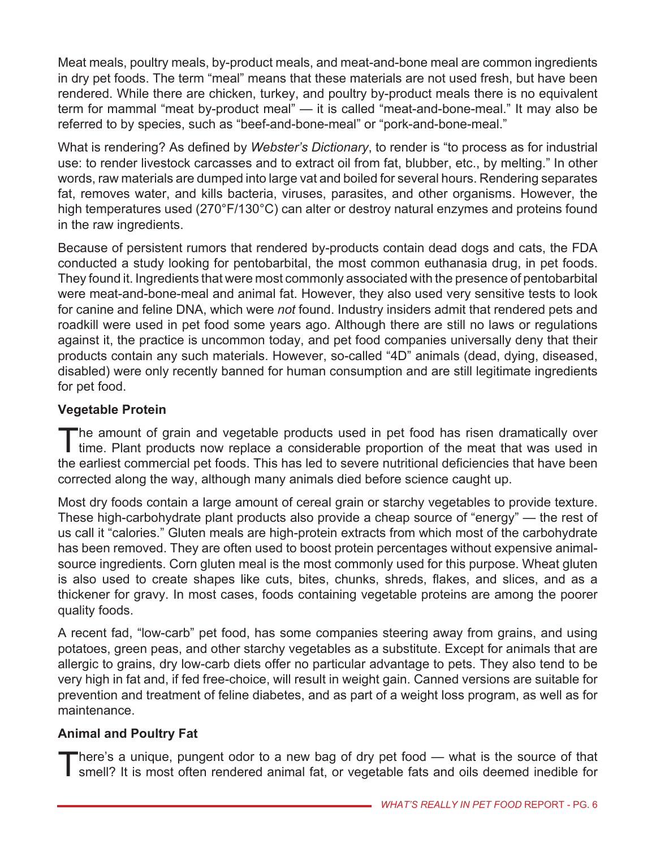Meat meals, poultry meals, by-product meals, and meat-and-bone meal are common ingredients in dry pet foods. The term "meal" means that these materials are not used fresh, but have been rendered. While there are chicken, turkey, and poultry by-product meals there is no equivalent term for mammal "meat by-product meal" — it is called "meat-and-bone-meal." It may also be referred to by species, such as "beef-and-bone-meal" or "pork-and-bone-meal."

What is rendering? As defined by *Webster's Dictionary*, to render is "to process as for industrial use: to render livestock carcasses and to extract oil from fat, blubber, etc., by melting." In other words, raw materials are dumped into large vat and boiled for several hours. Rendering separates fat, removes water, and kills bacteria, viruses, parasites, and other organisms. However, the high temperatures used (270°F/130°C) can alter or destroy natural enzymes and proteins found in the raw ingredients.

Because of persistent rumors that rendered by-products contain dead dogs and cats, the FDA conducted a study looking for pentobarbital, the most common euthanasia drug, in pet foods. They found it. Ingredients that were most commonly associated with the presence of pentobarbital were meat-and-bone-meal and animal fat. However, they also used very sensitive tests to look for canine and feline DNA, which were *not* found. Industry insiders admit that rendered pets and roadkill were used in pet food some years ago. Although there are still no laws or regulations against it, the practice is uncommon today, and pet food companies universally deny that their products contain any such materials. However, so-called "4D" animals (dead, dying, diseased, disabled) were only recently banned for human consumption and are still legitimate ingredients for pet food.

## **Vegetable Protein**

The amount of grain and vegetable products used in pet food has risen dramatically over<br>time. Plant products now replace a considerable proportion of the meat that was used in the earliest commercial pet foods. This has led to severe nutritional deficiencies that have been corrected along the way, although many animals died before science caught up.

Most dry foods contain a large amount of cereal grain or starchy vegetables to provide texture. These high-carbohydrate plant products also provide a cheap source of "energy" — the rest of us call it "calories." Gluten meals are high-protein extracts from which most of the carbohydrate has been removed. They are often used to boost protein percentages without expensive animalsource ingredients. Corn gluten meal is the most commonly used for this purpose. Wheat gluten is also used to create shapes like cuts, bites, chunks, shreds, flakes, and slices, and as a thickener for gravy. In most cases, foods containing vegetable proteins are among the poorer quality foods.

A recent fad, "low-carb" pet food, has some companies steering away from grains, and using potatoes, green peas, and other starchy vegetables as a substitute. Except for animals that are allergic to grains, dry low-carb diets offer no particular advantage to pets. They also tend to be very high in fat and, if fed free-choice, will result in weight gain. Canned versions are suitable for prevention and treatment of feline diabetes, and as part of a weight loss program, as well as for maintenance.

## **Animal and Poultry Fat**

There's a unique, pungent odor to a new bag of dry pet food — what is the source of that smell? It is most often rendered animal fat, or vegetable fats and oils deemed inedible for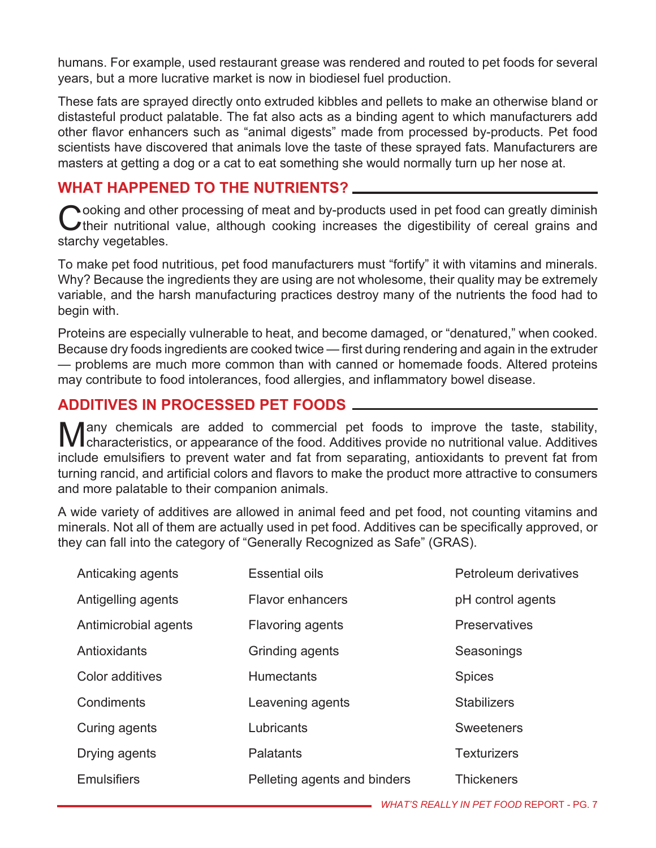humans. For example, used restaurant grease was rendered and routed to pet foods for several years, but a more lucrative market is now in biodiesel fuel production.

These fats are sprayed directly onto extruded kibbles and pellets to make an otherwise bland or distasteful product palatable. The fat also acts as a binding agent to which manufacturers add other flavor enhancers such as "animal digests" made from processed by-products. Pet food scientists have discovered that animals love the taste of these sprayed fats. Manufacturers are masters at getting a dog or a cat to eat something she would normally turn up her nose at.

## **What Happened to the Nutrients?**

Cooking and other processing of meat and by-products used in pet food can greatly diminish their nutritional value, although cooking increases the digestibility of cereal grains and starchy vegetables.

To make pet food nutritious, pet food manufacturers must "fortify" it with vitamins and minerals. Why? Because the ingredients they are using are not wholesome, their quality may be extremely variable, and the harsh manufacturing practices destroy many of the nutrients the food had to begin with.

Proteins are especially vulnerable to heat, and become damaged, or "denatured," when cooked. Because dry foods ingredients are cooked twice — first during rendering and again in the extruder — problems are much more common than with canned or homemade foods. Altered proteins may contribute to food intolerances, food allergies, and inflammatory bowel disease.

## **Additives in Processed Pet Foods**

Many chemicals are added to commercial pet foods to improve the taste, stability, characteristics, or appearance of the food. Additives provide no nutritional value. Additives include emulsifiers to prevent water and fat from separating, antioxidants to prevent fat from turning rancid, and artificial colors and flavors to make the product more attractive to consumers and more palatable to their companion animals.

A wide variety of additives are allowed in animal feed and pet food, not counting vitamins and minerals. Not all of them are actually used in pet food. Additives can be specifically approved, or they can fall into the category of "Generally Recognized as Safe" (GRAS).

| Anticaking agents    | <b>Essential oils</b>        | Petroleum derivatives |
|----------------------|------------------------------|-----------------------|
| Antigelling agents   | <b>Flavor enhancers</b>      | pH control agents     |
| Antimicrobial agents | <b>Flavoring agents</b>      | <b>Preservatives</b>  |
| Antioxidants         | Grinding agents              | Seasonings            |
| Color additives      | <b>Humectants</b>            | <b>Spices</b>         |
| Condiments           | Leavening agents             | <b>Stabilizers</b>    |
| Curing agents        | Lubricants                   | <b>Sweeteners</b>     |
| Drying agents        | Palatants                    | <b>Texturizers</b>    |
| <b>Emulsifiers</b>   | Pelleting agents and binders | <b>Thickeners</b>     |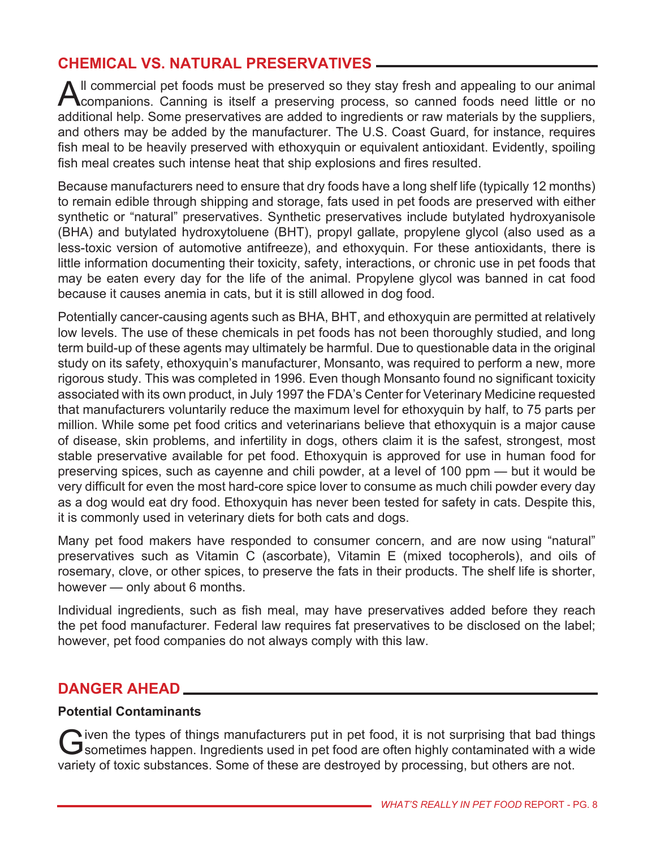# **Chemical vs. Natural Preservatives**

All commercial pet foods must be preserved so they stay fresh and appealing to our animal<br>companions. Canning is itself a preserving process, so canned foods need little or no additional help. Some preservatives are added to ingredients or raw materials by the suppliers, and others may be added by the manufacturer. The U.S. Coast Guard, for instance, requires fish meal to be heavily preserved with ethoxyquin or equivalent antioxidant. Evidently, spoiling fish meal creates such intense heat that ship explosions and fires resulted.

Because manufacturers need to ensure that dry foods have a long shelf life (typically 12 months) to remain edible through shipping and storage, fats used in pet foods are preserved with either synthetic or "natural" preservatives. Synthetic preservatives include butylated hydroxyanisole (BHA) and butylated hydroxytoluene (BHT), propyl gallate, propylene glycol (also used as a less-toxic version of automotive antifreeze), and ethoxyquin. For these antioxidants, there is little information documenting their toxicity, safety, interactions, or chronic use in pet foods that may be eaten every day for the life of the animal. Propylene glycol was banned in cat food because it causes anemia in cats, but it is still allowed in dog food.

Potentially cancer-causing agents such as BHA, BHT, and ethoxyquin are permitted at relatively low levels. The use of these chemicals in pet foods has not been thoroughly studied, and long term build-up of these agents may ultimately be harmful. Due to questionable data in the original study on its safety, ethoxyquin's manufacturer, Monsanto, was required to perform a new, more rigorous study. This was completed in 1996. Even though Monsanto found no significant toxicity associated with its own product, in July 1997 the FDA's Center for Veterinary Medicine requested that manufacturers voluntarily reduce the maximum level for ethoxyquin by half, to 75 parts per million. While some pet food critics and veterinarians believe that ethoxyquin is a major cause of disease, skin problems, and infertility in dogs, others claim it is the safest, strongest, most stable preservative available for pet food. Ethoxyquin is approved for use in human food for preserving spices, such as cayenne and chili powder, at a level of 100 ppm — but it would be very difficult for even the most hard-core spice lover to consume as much chili powder every day as a dog would eat dry food. Ethoxyquin has never been tested for safety in cats. Despite this, it is commonly used in veterinary diets for both cats and dogs.

Many pet food makers have responded to consumer concern, and are now using "natural" preservatives such as Vitamin C (ascorbate), Vitamin E (mixed tocopherols), and oils of rosemary, clove, or other spices, to preserve the fats in their products. The shelf life is shorter, however — only about 6 months.

Individual ingredients, such as fish meal, may have preservatives added before they reach the pet food manufacturer. Federal law requires fat preservatives to be disclosed on the label; however, pet food companies do not always comply with this law.

## **DANGER AHEAD**

#### **Potential Contaminants**

Given the types of things manufacturers put in pet food, it is not surprising that bad things sometimes happen. Ingredients used in pet food are often highly contaminated with a wide variety of toxic substances. Some of these are destroyed by processing, but others are not.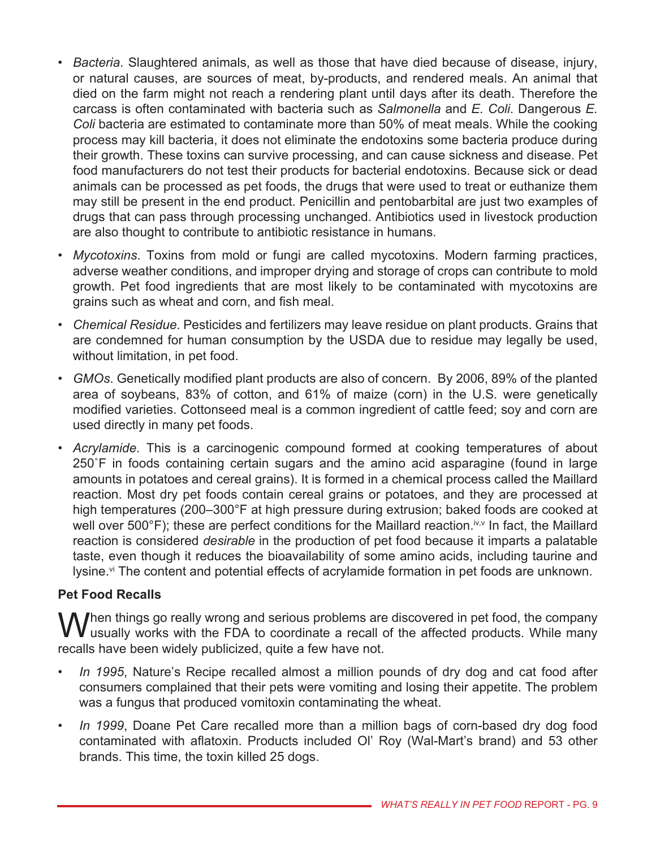- *Bacteria*. Slaughtered animals, as well as those that have died because of disease, injury, or natural causes, are sources of meat, by-products, and rendered meals. An animal that died on the farm might not reach a rendering plant until days after its death. Therefore the carcass is often contaminated with bacteria such as *Salmonella* and *E. Coli*. Dangerous *E. Coli* bacteria are estimated to contaminate more than 50% of meat meals. While the cooking process may kill bacteria, it does not eliminate the endotoxins some bacteria produce during their growth. These toxins can survive processing, and can cause sickness and disease. Pet food manufacturers do not test their products for bacterial endotoxins. Because sick or dead animals can be processed as pet foods, the drugs that were used to treat or euthanize them may still be present in the end product. Penicillin and pentobarbital are just two examples of drugs that can pass through processing unchanged. Antibiotics used in livestock production are also thought to contribute to antibiotic resistance in humans.
- *Mycotoxins*. Toxins from mold or fungi are called mycotoxins. Modern farming practices, adverse weather conditions, and improper drying and storage of crops can contribute to mold growth. Pet food ingredients that are most likely to be contaminated with mycotoxins are grains such as wheat and corn, and fish meal.
- *Chemical Residue*. Pesticides and fertilizers may leave residue on plant products. Grains that are condemned for human consumption by the USDA due to residue may legally be used, without limitation, in pet food.
- *GMOs*. Genetically modified plant products are also of concern. By 2006, 89% of the planted area of soybeans, 83% of cotton, and 61% of maize (corn) in the U.S. were genetically modified varieties. Cottonseed meal is a common ingredient of cattle feed; soy and corn are used directly in many pet foods.
- *Acrylamide*. This is a carcinogenic compound formed at cooking temperatures of about 250˚F in foods containing certain sugars and the amino acid asparagine (found in large amounts in potatoes and cereal grains). It is formed in a chemical process called the Maillard reaction. Most dry pet foods contain cereal grains or potatoes, and they are processed at high temperatures (200–300°F at high pressure during extrusion; baked foods are cooked at well over 500°F); these are perfect conditions for the Maillard reaction.<sup>iv,v</sup> In fact, the Maillard reaction is considered *desirable* in the production of pet food because it imparts a palatable taste, even though it reduces the bioavailability of some amino acids, including taurine and lysine.<sup>vi</sup> The content and potential effects of acrylamide formation in pet foods are unknown.

## **Pet Food Recalls**

When things go really wrong and serious problems are discovered in pet food, the company **V** usually works with the FDA to coordinate a recall of the affected products. While many recalls have been widely publicized, quite a few have not.

- *In 1995*, Nature's Recipe recalled almost a million pounds of dry dog and cat food after consumers complained that their pets were vomiting and losing their appetite. The problem was a fungus that produced vomitoxin contaminating the wheat.
- *In 1999*, Doane Pet Care recalled more than a million bags of corn-based dry dog food contaminated with aflatoxin. Products included Ol' Roy (Wal-Mart's brand) and 53 other brands. This time, the toxin killed 25 dogs.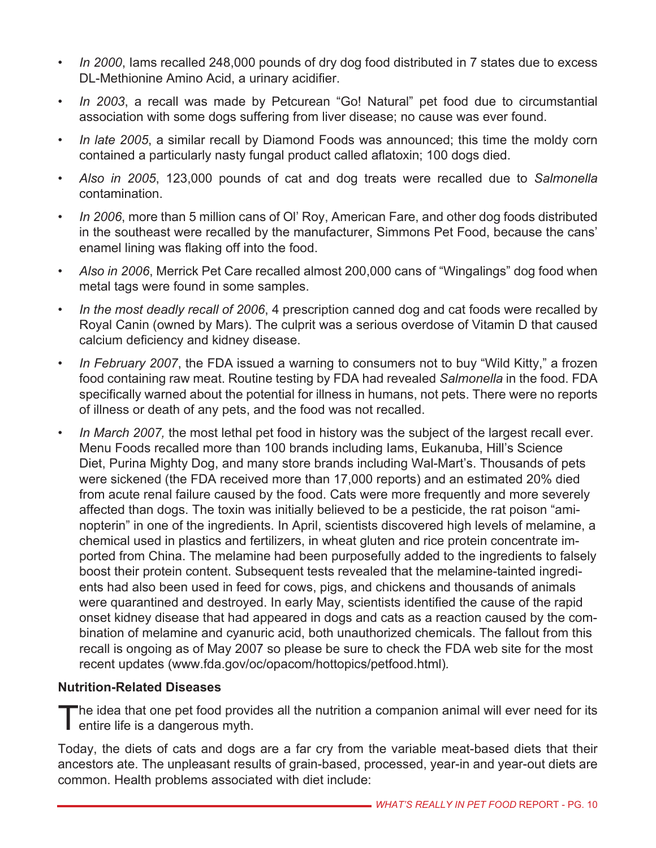- *In 2000*, Iams recalled 248,000 pounds of dry dog food distributed in 7 states due to excess DL-Methionine Amino Acid, a urinary acidifier.
- *In 2003*, a recall was made by Petcurean "Go! Natural" pet food due to circumstantial association with some dogs suffering from liver disease; no cause was ever found.
- *In late 2005*, a similar recall by Diamond Foods was announced; this time the moldy corn contained a particularly nasty fungal product called aflatoxin; 100 dogs died.
- *Also in 2005*, 123,000 pounds of cat and dog treats were recalled due to *Salmonella* contamination.
- *In 2006*, more than 5 million cans of Ol' Roy, American Fare, and other dog foods distributed in the southeast were recalled by the manufacturer, Simmons Pet Food, because the cans' enamel lining was flaking off into the food.
- *Also in 2006*, Merrick Pet Care recalled almost 200,000 cans of "Wingalings" dog food when metal tags were found in some samples.
- *In the most deadly recall of 2006*, 4 prescription canned dog and cat foods were recalled by Royal Canin (owned by Mars). The culprit was a serious overdose of Vitamin D that caused calcium deficiency and kidney disease.
- *In February 2007*, the FDA issued a warning to consumers not to buy "Wild Kitty," a frozen food containing raw meat. Routine testing by FDA had revealed *Salmonella* in the food. FDA specifically warned about the potential for illness in humans, not pets. There were no reports of illness or death of any pets, and the food was not recalled.
- In March 2007, the most lethal pet food in history was the subject of the largest recall ever. Menu Foods recalled more than 100 brands including Iams, Eukanuba, Hill's Science Diet, Purina Mighty Dog, and many store brands including Wal-Mart's. Thousands of pets were sickened (the FDA received more than 17,000 reports) and an estimated 20% died from acute renal failure caused by the food. Cats were more frequently and more severely affected than dogs. The toxin was initially believed to be a pesticide, the rat poison "aminopterin" in one of the ingredients. In April, scientists discovered high levels of melamine, a chemical used in plastics and fertilizers, in wheat gluten and rice protein concentrate imported from China. The melamine had been purposefully added to the ingredients to falsely boost their protein content. Subsequent tests revealed that the melamine-tainted ingredients had also been used in feed for cows, pigs, and chickens and thousands of animals were quarantined and destroyed. In early May, scientists identified the cause of the rapid onset kidney disease that had appeared in dogs and cats as a reaction caused by the combination of melamine and cyanuric acid, both unauthorized chemicals. The fallout from this recall is ongoing as of May 2007 so please be sure to check the FDA web site for the most recent updates (www.fda.gov/oc/opacom/hottopics/petfood.html)*.*

#### **Nutrition-Related Diseases**

The idea that one pet food provides all the nutrition a companion animal will ever need for its **l** entire life is a dangerous myth.

Today, the diets of cats and dogs are a far cry from the variable meat-based diets that their ancestors ate. The unpleasant results of grain-based, processed, year-in and year-out diets are common. Health problems associated with diet include: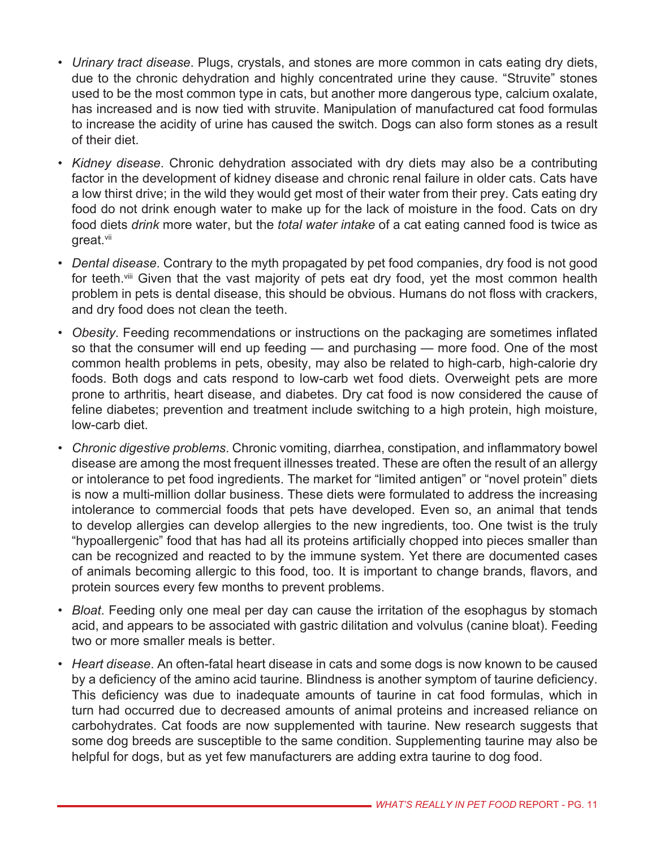- *Urinary tract disease*. Plugs, crystals, and stones are more common in cats eating dry diets, due to the chronic dehydration and highly concentrated urine they cause. "Struvite" stones used to be the most common type in cats, but another more dangerous type, calcium oxalate, has increased and is now tied with struvite. Manipulation of manufactured cat food formulas to increase the acidity of urine has caused the switch. Dogs can also form stones as a result of their diet.
- *Kidney disease*. Chronic dehydration associated with dry diets may also be a contributing factor in the development of kidney disease and chronic renal failure in older cats. Cats have a low thirst drive; in the wild they would get most of their water from their prey. Cats eating dry food do not drink enough water to make up for the lack of moisture in the food. Cats on dry food diets *drink* more water, but the *total water intake* of a cat eating canned food is twice as great.<sup>vii</sup>
- *Dental disease*. Contrary to the myth propagated by pet food companies, dry food is not good for teeth.<sup>viii</sup> Given that the vast majority of pets eat dry food, yet the most common health problem in pets is dental disease, this should be obvious. Humans do not floss with crackers, and dry food does not clean the teeth.
- *Obesity*. Feeding recommendations or instructions on the packaging are sometimes inflated so that the consumer will end up feeding — and purchasing — more food. One of the most common health problems in pets, obesity, may also be related to high-carb, high-calorie dry foods. Both dogs and cats respond to low-carb wet food diets. Overweight pets are more prone to arthritis, heart disease, and diabetes. Dry cat food is now considered the cause of feline diabetes; prevention and treatment include switching to a high protein, high moisture, low-carb diet.
- *Chronic digestive problems*. Chronic vomiting, diarrhea, constipation, and inflammatory bowel disease are among the most frequent illnesses treated. These are often the result of an allergy or intolerance to pet food ingredients. The market for "limited antigen" or "novel protein" diets is now a multi-million dollar business. These diets were formulated to address the increasing intolerance to commercial foods that pets have developed. Even so, an animal that tends to develop allergies can develop allergies to the new ingredients, too. One twist is the truly "hypoallergenic" food that has had all its proteins artificially chopped into pieces smaller than can be recognized and reacted to by the immune system. Yet there are documented cases of animals becoming allergic to this food, too. It is important to change brands, flavors, and protein sources every few months to prevent problems.
- *Bloat*. Feeding only one meal per day can cause the irritation of the esophagus by stomach acid, and appears to be associated with gastric dilitation and volvulus (canine bloat). Feeding two or more smaller meals is better.
- *Heart disease*. An often-fatal heart disease in cats and some dogs is now known to be caused by a deficiency of the amino acid taurine. Blindness is another symptom of taurine deficiency. This deficiency was due to inadequate amounts of taurine in cat food formulas, which in turn had occurred due to decreased amounts of animal proteins and increased reliance on carbohydrates. Cat foods are now supplemented with taurine. New research suggests that some dog breeds are susceptible to the same condition. Supplementing taurine may also be helpful for dogs, but as yet few manufacturers are adding extra taurine to dog food.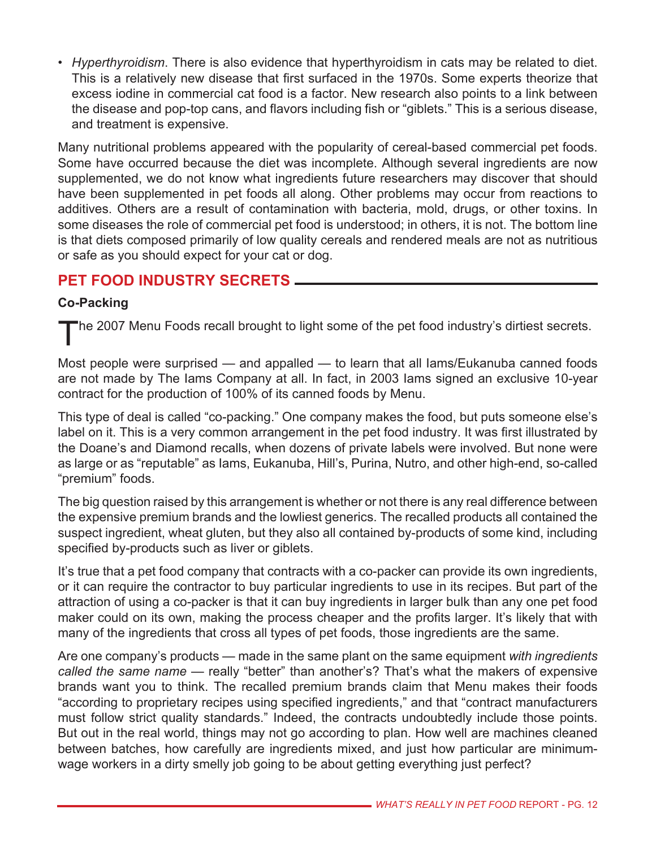• *Hyperthyroidism*. There is also evidence that hyperthyroidism in cats may be related to diet. This is a relatively new disease that first surfaced in the 1970s. Some experts theorize that excess iodine in commercial cat food is a factor. New research also points to a link between the disease and pop-top cans, and flavors including fish or "giblets." This is a serious disease, and treatment is expensive.

Many nutritional problems appeared with the popularity of cereal-based commercial pet foods. Some have occurred because the diet was incomplete. Although several ingredients are now supplemented, we do not know what ingredients future researchers may discover that should have been supplemented in pet foods all along. Other problems may occur from reactions to additives. Others are a result of contamination with bacteria, mold, drugs, or other toxins. In some diseases the role of commercial pet food is understood; in others, it is not. The bottom line is that diets composed primarily of low quality cereals and rendered meals are not as nutritious or safe as you should expect for your cat or dog.

## **PET FOOD INDUSTRY SECRETS**

## **Co-Packing**

The 2007 Menu Foods recall brought to light some of the pet food industry's dirtiest secrets.

Most people were surprised — and appalled — to learn that all Iams/Eukanuba canned foods are not made by The Iams Company at all. In fact, in 2003 Iams signed an exclusive 10-year contract for the production of 100% of its canned foods by Menu.

This type of deal is called "co-packing." One company makes the food, but puts someone else's label on it. This is a very common arrangement in the pet food industry. It was first illustrated by the Doane's and Diamond recalls, when dozens of private labels were involved. But none were as large or as "reputable" as Iams, Eukanuba, Hill's, Purina, Nutro, and other high-end, so-called "premium" foods.

The big question raised by this arrangement is whether or not there is any real difference between the expensive premium brands and the lowliest generics. The recalled products all contained the suspect ingredient, wheat gluten, but they also all contained by-products of some kind, including specified by-products such as liver or giblets.

It's true that a pet food company that contracts with a co-packer can provide its own ingredients, or it can require the contractor to buy particular ingredients to use in its recipes. But part of the attraction of using a co-packer is that it can buy ingredients in larger bulk than any one pet food maker could on its own, making the process cheaper and the profits larger. It's likely that with many of the ingredients that cross all types of pet foods, those ingredients are the same.

Are one company's products — made in the same plant on the same equipment *with ingredients called the same name* — really "better" than another's? That's what the makers of expensive brands want you to think. The recalled premium brands claim that Menu makes their foods "according to proprietary recipes using specified ingredients," and that "contract manufacturers must follow strict quality standards." Indeed, the contracts undoubtedly include those points. But out in the real world, things may not go according to plan. How well are machines cleaned between batches, how carefully are ingredients mixed, and just how particular are minimumwage workers in a dirty smelly job going to be about getting everything just perfect?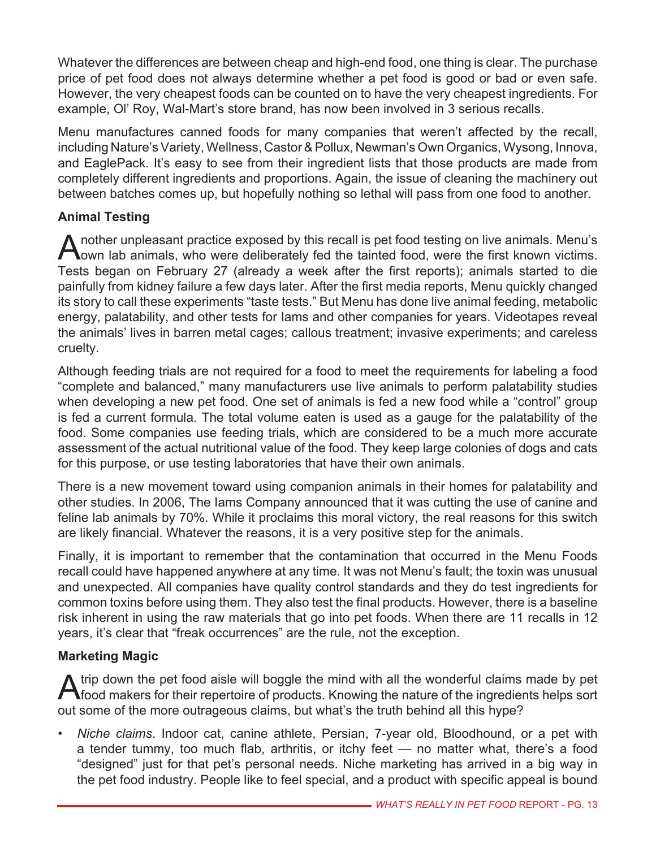Whatever the differences are between cheap and high-end food, one thing is clear. The purchase price of pet food does not always determine whether a pet food is good or bad or even safe. However, the very cheapest foods can be counted on to have the very cheapest ingredients. For example, Ol' Roy, Wal-Mart's store brand, has now been involved in 3 serious recalls.

Menu manufactures canned foods for many companies that weren't affected by the recall, including Nature's Variety, Wellness, Castor & Pollux, Newman's Own Organics, Wysong, Innova, and EaglePack. It's easy to see from their ingredient lists that those products are made from completely different ingredients and proportions. Again, the issue of cleaning the machinery out between batches comes up, but hopefully nothing so lethal will pass from one food to another.

## **Animal Testing**

A nother unpleasant practice exposed by this recall is pet food testing on live animals. Menu's cown lab animals, who were deliberately fed the tainted food, were the first known victims. Tests began on February 27 (already a week after the first reports); animals started to die painfully from kidney failure a few days later. After the first media reports, Menu quickly changed its story to call these experiments "taste tests." But Menu has done live animal feeding, metabolic energy, palatability, and other tests for Iams and other companies for years. Videotapes reveal the animals' lives in barren metal cages; callous treatment; invasive experiments; and careless cruelty.

Although feeding trials are not required for a food to meet the requirements for labeling a food "complete and balanced," many manufacturers use live animals to perform palatability studies when developing a new pet food. One set of animals is fed a new food while a "control" group is fed a current formula. The total volume eaten is used as a gauge for the palatability of the food. Some companies use feeding trials, which are considered to be a much more accurate assessment of the actual nutritional value of the food. They keep large colonies of dogs and cats for this purpose, or use testing laboratories that have their own animals.

There is a new movement toward using companion animals in their homes for palatability and other studies. In 2006, The Iams Company announced that it was cutting the use of canine and feline lab animals by 70%. While it proclaims this moral victory, the real reasons for this switch are likely financial. Whatever the reasons, it is a very positive step for the animals.

Finally, it is important to remember that the contamination that occurred in the Menu Foods recall could have happened anywhere at any time. It was not Menu's fault; the toxin was unusual and unexpected. All companies have quality control standards and they do test ingredients for common toxins before using them. They also test the final products. However, there is a baseline risk inherent in using the raw materials that go into pet foods. When there are 11 recalls in 12 years, it's clear that "freak occurrences" are the rule, not the exception.

#### **Marketing Magic**

A trip down the pet food aisle will boggle the mind with all the wonderful claims made by pet food makers for their repertoire of products. Knowing the nature of the ingredients helps sort out some of the more outrageous claims, but what's the truth behind all this hype?

• *Niche claims*. Indoor cat, canine athlete, Persian, 7-year old, Bloodhound, or a pet with a tender tummy, too much flab, arthritis, or itchy feet — no matter what, there's a food "designed" just for that pet's personal needs. Niche marketing has arrived in a big way in the pet food industry. People like to feel special, and a product with specific appeal is bound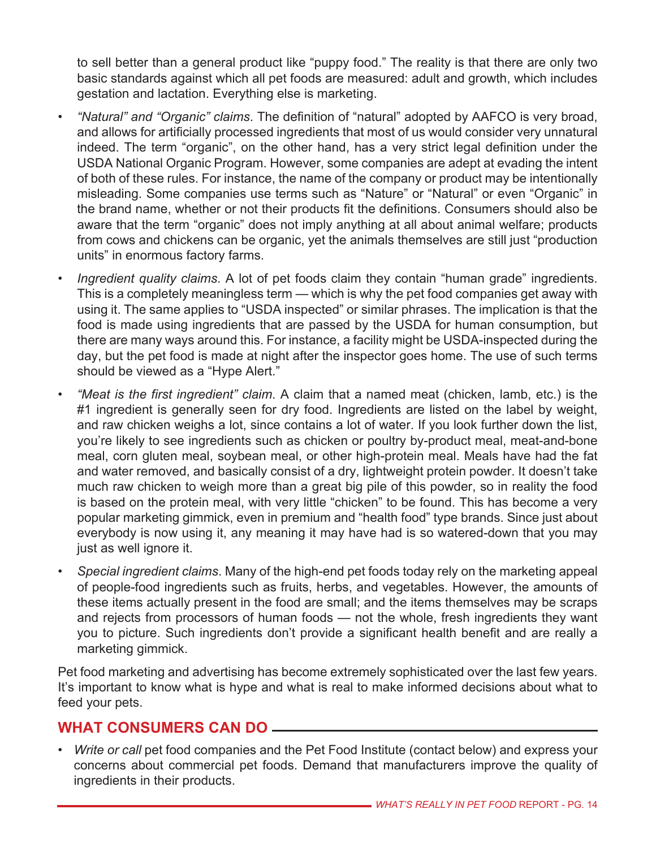to sell better than a general product like "puppy food." The reality is that there are only two basic standards against which all pet foods are measured: adult and growth, which includes gestation and lactation. Everything else is marketing.

- *"Natural" and "Organic" claims*. The definition of "natural" adopted by AAFCO is very broad, and allows for artificially processed ingredients that most of us would consider very unnatural indeed. The term "organic", on the other hand, has a very strict legal definition under the USDA National Organic Program. However, some companies are adept at evading the intent of both of these rules. For instance, the name of the company or product may be intentionally misleading. Some companies use terms such as "Nature" or "Natural" or even "Organic" in the brand name, whether or not their products fit the definitions. Consumers should also be aware that the term "organic" does not imply anything at all about animal welfare; products from cows and chickens can be organic, yet the animals themselves are still just "production units" in enormous factory farms.
- *Ingredient quality claims*. A lot of pet foods claim they contain "human grade" ingredients. This is a completely meaningless term — which is why the pet food companies get away with using it. The same applies to "USDA inspected" or similar phrases. The implication is that the food is made using ingredients that are passed by the USDA for human consumption, but there are many ways around this. For instance, a facility might be USDA-inspected during the day, but the pet food is made at night after the inspector goes home. The use of such terms should be viewed as a "Hype Alert."
- *"Meat is the first ingredient" claim*. A claim that a named meat (chicken, lamb, etc.) is the #1 ingredient is generally seen for dry food. Ingredients are listed on the label by weight, and raw chicken weighs a lot, since contains a lot of water. If you look further down the list, you're likely to see ingredients such as chicken or poultry by-product meal, meat-and-bone meal, corn gluten meal, soybean meal, or other high-protein meal. Meals have had the fat and water removed, and basically consist of a dry, lightweight protein powder. It doesn't take much raw chicken to weigh more than a great big pile of this powder, so in reality the food is based on the protein meal, with very little "chicken" to be found. This has become a very popular marketing gimmick, even in premium and "health food" type brands. Since just about everybody is now using it, any meaning it may have had is so watered-down that you may iust as well ignore it.
- *Special ingredient claims*. Many of the high-end pet foods today rely on the marketing appeal of people-food ingredients such as fruits, herbs, and vegetables. However, the amounts of these items actually present in the food are small; and the items themselves may be scraps and rejects from processors of human foods — not the whole, fresh ingredients they want you to picture. Such ingredients don't provide a significant health benefit and are really a marketing gimmick.

Pet food marketing and advertising has become extremely sophisticated over the last few years. It's important to know what is hype and what is real to make informed decisions about what to feed your pets.

## **What Consumers Can Do**

• *Write or call* pet food companies and the Pet Food Institute (contact below) and express your concerns about commercial pet foods. Demand that manufacturers improve the quality of ingredients in their products.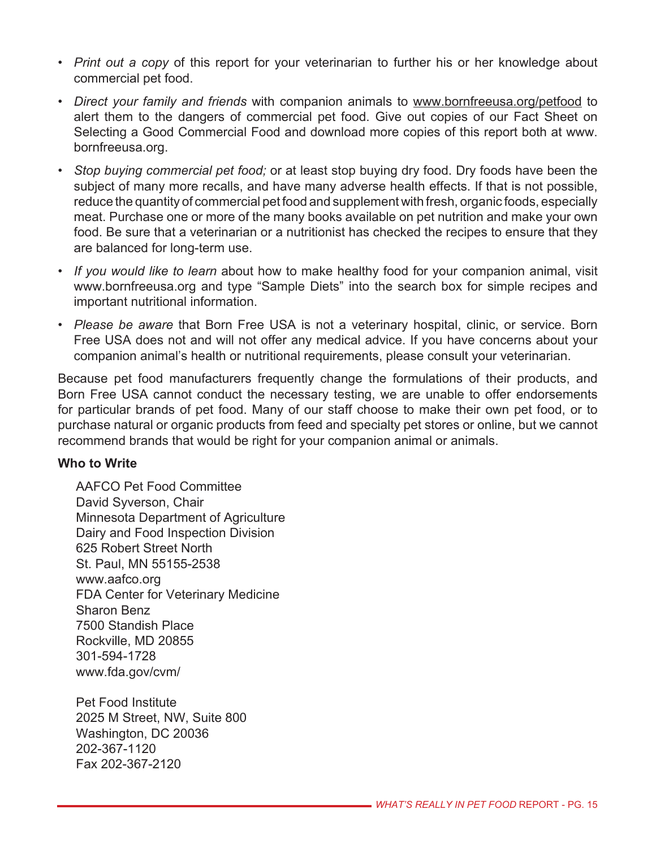- *Print out a copy* of this report for your veterinarian to further his or her knowledge about commercial pet food.
- *Direct your family and friends* with companion animals to www.bornfreeusa.org/petfood to alert them to the dangers of commercial pet food. Give out copies of our Fact Sheet on Selecting a Good Commercial Food and download more copies of this report both at www. bornfreeusa.org.
- *Stop buying commercial pet food;* or at least stop buying dry food. Dry foods have been the subject of many more recalls, and have many adverse health effects. If that is not possible, reduce the quantity of commercial pet food and supplement with fresh, organic foods, especially meat. Purchase one or more of the many books available on pet nutrition and make your own food. Be sure that a veterinarian or a nutritionist has checked the recipes to ensure that they are balanced for long-term use.
- *If you would like to learn* about how to make healthy food for your companion animal, visit www.bornfreeusa.org and type "Sample Diets" into the search box for simple recipes and important nutritional information.
- *Please be aware* that Born Free USA is not a veterinary hospital, clinic, or service. Born Free USA does not and will not offer any medical advice. If you have concerns about your companion animal's health or nutritional requirements, please consult your veterinarian.

Because pet food manufacturers frequently change the formulations of their products, and Born Free USA cannot conduct the necessary testing, we are unable to offer endorsements for particular brands of pet food. Many of our staff choose to make their own pet food, or to purchase natural or organic products from feed and specialty pet stores or online, but we cannot recommend brands that would be right for your companion animal or animals.

#### **Who to Write**

AAFCO Pet Food Committee David Syverson, Chair Minnesota Department of Agriculture Dairy and Food Inspection Division 625 Robert Street North St. Paul, MN 55155-2538 www.aafco.org FDA Center for Veterinary Medicine Sharon Benz 7500 Standish Place Rockville, MD 20855 301-594-1728 www.fda.gov/cvm/

Pet Food Institute 2025 M Street, NW, Suite 800 Washington, DC 20036 202-367-1120 Fax 202-367-2120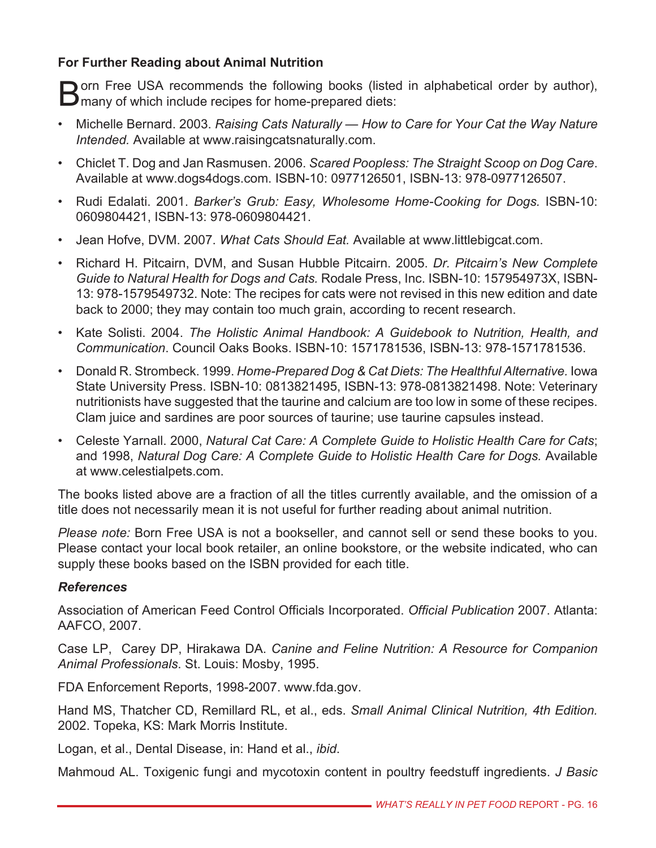#### **For Further Reading about Animal Nutrition**

**D** orn Free USA recommends the following books (listed in alphabetical order by author),  $\Box$  many of which include recipes for home-prepared diets:

- Michelle Bernard. 2003. *Raising Cats Naturally How to Care for Your Cat the Way Nature Intended.* Available at www.raisingcatsnaturally.com.
- Chiclet T. Dog and Jan Rasmusen. 2006. *Scared Poopless: The Straight Scoop on Dog Care*. Available at www.dogs4dogs.com. ISBN-10: 0977126501, ISBN-13: 978-0977126507.
- Rudi Edalati. 2001. *Barker's Grub: Easy, Wholesome Home-Cooking for Dogs.* ISBN-10: 0609804421, ISBN-13: 978-0609804421.
- Jean Hofve, DVM. 2007. *What Cats Should Eat.* Available at www.littlebigcat.com.
- Richard H. Pitcairn, DVM, and Susan Hubble Pitcairn. 2005. *Dr. Pitcairn's New Complete Guide to Natural Health for Dogs and Cats.* Rodale Press, Inc. ISBN-10: 157954973X, ISBN- 13: 978-1579549732. Note: The recipes for cats were not revised in this new edition and date back to 2000; they may contain too much grain, according to recent research.
- Kate Solisti. 2004. *The Holistic Animal Handbook: A Guidebook to Nutrition, Health, and Communication*. Council Oaks Books. ISBN-10: 1571781536, ISBN-13: 978-1571781536.
- Donald R. Strombeck. 1999. *Home-Prepared Dog & Cat Diets: The Healthful Alternative.* Iowa State University Press. ISBN-10: 0813821495, ISBN-13: 978-0813821498. Note: Veterinary nutritionists have suggested that the taurine and calcium are too low in some of these recipes. Clam juice and sardines are poor sources of taurine; use taurine capsules instead.
- Celeste Yarnall. 2000, *Natural Cat Care: A Complete Guide to Holistic Health Care for Cats*; and 1998, *Natural Dog Care: A Complete Guide to Holistic Health Care for Dogs.* Available at www.celestialpets.com.

The books listed above are a fraction of all the titles currently available, and the omission of a title does not necessarily mean it is not useful for further reading about animal nutrition.

*Please note:* Born Free USA is not a bookseller, and cannot sell or send these books to you. Please contact your local book retailer, an online bookstore, or the website indicated, who can supply these books based on the ISBN provided for each title.

#### *References*

Association of American Feed Control Officials Incorporated. *Official Publication* 2007. Atlanta: AAFCO, 2007.

Case LP, Carey DP, Hirakawa DA. *Canine and Feline Nutrition: A Resource for Companion Animal Professionals*. St. Louis: Mosby, 1995.

FDA Enforcement Reports, 1998-2007. www.fda.gov.

Hand MS, Thatcher CD, Remillard RL, et al., eds. *Small Animal Clinical Nutrition, 4th Edition.*  2002. Topeka, KS: Mark Morris Institute.

Logan, et al., Dental Disease, in: Hand et al., *ibid*.

Mahmoud AL. Toxigenic fungi and mycotoxin content in poultry feedstuff ingredients. *J Basic*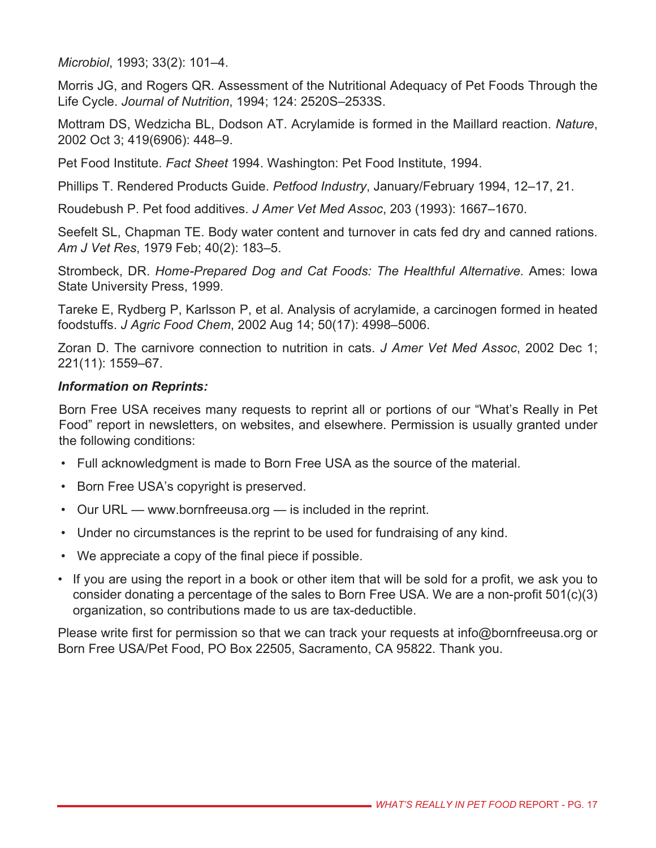*Microbiol*, 1993; 33(2): 101–4.

Morris JG, and Rogers QR. Assessment of the Nutritional Adequacy of Pet Foods Through the Life Cycle. *Journal of Nutrition*, 1994; 124: 2520S–2533S.

Mottram DS, Wedzicha BL, Dodson AT. Acrylamide is formed in the Maillard reaction. *Nature*, 2002 Oct 3; 419(6906): 448–9.

Pet Food Institute. *Fact Sheet* 1994. Washington: Pet Food Institute, 1994.

Phillips T. Rendered Products Guide. *Petfood Industry*, January/February 1994, 12–17, 21.

Roudebush P. Pet food additives. *J Amer Vet Med Assoc*, 203 (1993): 1667–1670.

Seefelt SL, Chapman TE. Body water content and turnover in cats fed dry and canned rations. *Am J Vet Res*, 1979 Feb; 40(2): 183–5.

Strombeck, DR. *Home-Prepared Dog and Cat Foods: The Healthful Alternative.* Ames: Iowa State University Press, 1999.

Tareke E, Rydberg P, Karlsson P, et al. Analysis of acrylamide, a carcinogen formed in heated foodstuffs. *J Agric Food Chem*, 2002 Aug 14; 50(17): 4998–5006.

Zoran D. The carnivore connection to nutrition in cats. *J Amer Vet Med Assoc*, 2002 Dec 1; 221(11): 1559–67.

#### *Information on Reprints:*

Born Free USA receives many requests to reprint all or portions of our "What's Really in Pet Food" report in newsletters, on websites, and elsewhere. Permission is usually granted under the following conditions:

- Full acknowledgment is made to Born Free USA as the source of the material.
- Born Free USA's copyright is preserved.
- Our URL www.bornfreeusa.org is included in the reprint.
- Under no circumstances is the reprint to be used for fundraising of any kind.
- We appreciate a copy of the final piece if possible.
- If you are using the report in a book or other item that will be sold for a profit, we ask you to consider donating a percentage of the sales to Born Free USA. We are a non-profit 501(c)(3) organization, so contributions made to us are tax-deductible.

Please write first for permission so that we can track your requests at info@bornfreeusa.org or Born Free USA/Pet Food, PO Box 22505, Sacramento, CA 95822. Thank you.